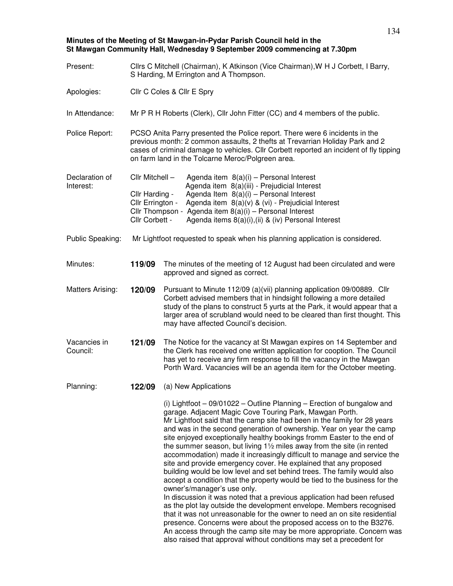**Minutes of the Meeting of St Mawgan-in-Pydar Parish Council held in the St Mawgan Community Hall, Wednesday 9 September 2009 commencing at 7.30pm**

| Present:                    | Cllrs C Mitchell (Chairman), K Atkinson (Vice Chairman), W H J Corbett, I Barry,<br>S Harding, M Errington and A Thompson.                                                                                                                                                                                 |                                                                                                                                                                                                                                                                                                                                                                                                                                                                                                                                                                                                                                                                                                                                                                                                                                                                                                                                                                                                                                                                                                                                                                                                                                                     |  |  |
|-----------------------------|------------------------------------------------------------------------------------------------------------------------------------------------------------------------------------------------------------------------------------------------------------------------------------------------------------|-----------------------------------------------------------------------------------------------------------------------------------------------------------------------------------------------------------------------------------------------------------------------------------------------------------------------------------------------------------------------------------------------------------------------------------------------------------------------------------------------------------------------------------------------------------------------------------------------------------------------------------------------------------------------------------------------------------------------------------------------------------------------------------------------------------------------------------------------------------------------------------------------------------------------------------------------------------------------------------------------------------------------------------------------------------------------------------------------------------------------------------------------------------------------------------------------------------------------------------------------------|--|--|
| Apologies:                  | Cllr C Coles & Cllr E Spry                                                                                                                                                                                                                                                                                 |                                                                                                                                                                                                                                                                                                                                                                                                                                                                                                                                                                                                                                                                                                                                                                                                                                                                                                                                                                                                                                                                                                                                                                                                                                                     |  |  |
| In Attendance:              | Mr P R H Roberts (Clerk), Cllr John Fitter (CC) and 4 members of the public.                                                                                                                                                                                                                               |                                                                                                                                                                                                                                                                                                                                                                                                                                                                                                                                                                                                                                                                                                                                                                                                                                                                                                                                                                                                                                                                                                                                                                                                                                                     |  |  |
| Police Report:              | PCSO Anita Parry presented the Police report. There were 6 incidents in the<br>previous month: 2 common assaults, 2 thefts at Trevarrian Holiday Park and 2<br>cases of criminal damage to vehicles. Cllr Corbett reported an incident of fly tipping<br>on farm land in the Tolcarne Meroc/Polgreen area. |                                                                                                                                                                                                                                                                                                                                                                                                                                                                                                                                                                                                                                                                                                                                                                                                                                                                                                                                                                                                                                                                                                                                                                                                                                                     |  |  |
| Declaration of<br>Interest: | Cllr Mitchell -                                                                                                                                                                                                                                                                                            | Agenda item $8(a)(i)$ – Personal Interest<br>Agenda item 8(a)(iii) - Prejudicial Interest                                                                                                                                                                                                                                                                                                                                                                                                                                                                                                                                                                                                                                                                                                                                                                                                                                                                                                                                                                                                                                                                                                                                                           |  |  |
|                             | Cllr Harding -<br>Cllr Errington -<br>Cllr Corbett -                                                                                                                                                                                                                                                       | Agenda Item 8(a)(i) - Personal Interest<br>Agenda item 8(a)(v) & (vi) - Prejudicial Interest<br>Cllr Thompson - Agenda item 8(a)(i) - Personal Interest<br>Agenda items 8(a)(i),(ii) & (iv) Personal Interest                                                                                                                                                                                                                                                                                                                                                                                                                                                                                                                                                                                                                                                                                                                                                                                                                                                                                                                                                                                                                                       |  |  |
| Public Speaking:            | Mr Lightfoot requested to speak when his planning application is considered.                                                                                                                                                                                                                               |                                                                                                                                                                                                                                                                                                                                                                                                                                                                                                                                                                                                                                                                                                                                                                                                                                                                                                                                                                                                                                                                                                                                                                                                                                                     |  |  |
| Minutes:                    | 119/09                                                                                                                                                                                                                                                                                                     | The minutes of the meeting of 12 August had been circulated and were<br>approved and signed as correct.                                                                                                                                                                                                                                                                                                                                                                                                                                                                                                                                                                                                                                                                                                                                                                                                                                                                                                                                                                                                                                                                                                                                             |  |  |
| <b>Matters Arising:</b>     | 120/09                                                                                                                                                                                                                                                                                                     | Pursuant to Minute 112/09 (a)(vii) planning application 09/00889. Cllr<br>Corbett advised members that in hindsight following a more detailed<br>study of the plans to construct 5 yurts at the Park, it would appear that a<br>larger area of scrubland would need to be cleared than first thought. This<br>may have affected Council's decision.                                                                                                                                                                                                                                                                                                                                                                                                                                                                                                                                                                                                                                                                                                                                                                                                                                                                                                 |  |  |
| Vacancies in<br>Council:    | 121/09                                                                                                                                                                                                                                                                                                     | The Notice for the vacancy at St Mawgan expires on 14 September and<br>the Clerk has received one written application for cooption. The Council<br>has yet to receive any firm response to fill the vacancy in the Mawgan<br>Porth Ward. Vacancies will be an agenda item for the October meeting.                                                                                                                                                                                                                                                                                                                                                                                                                                                                                                                                                                                                                                                                                                                                                                                                                                                                                                                                                  |  |  |
| Planning:                   | 122/09                                                                                                                                                                                                                                                                                                     | (a) New Applications                                                                                                                                                                                                                                                                                                                                                                                                                                                                                                                                                                                                                                                                                                                                                                                                                                                                                                                                                                                                                                                                                                                                                                                                                                |  |  |
|                             |                                                                                                                                                                                                                                                                                                            | (i) Lightfoot $-09/01022 -$ Outline Planning $-$ Erection of bungalow and<br>garage. Adjacent Magic Cove Touring Park, Mawgan Porth.<br>Mr Lightfoot said that the camp site had been in the family for 28 years<br>and was in the second generation of ownership. Year on year the camp<br>site enjoyed exceptionally healthy bookings fromm Easter to the end of<br>the summer season, but living $1\frac{1}{2}$ miles away from the site (in rented<br>accommodation) made it increasingly difficult to manage and service the<br>site and provide emergency cover. He explained that any proposed<br>building would be low level and set behind trees. The family would also<br>accept a condition that the property would be tied to the business for the<br>owner's/manager's use only.<br>In discussion it was noted that a previous application had been refused<br>as the plot lay outside the development envelope. Members recognised<br>that it was not unreasonable for the owner to need an on site residential<br>presence. Concerns were about the proposed access on to the B3276.<br>An access through the camp site may be more appropriate. Concern was<br>also raised that approval without conditions may set a precedent for |  |  |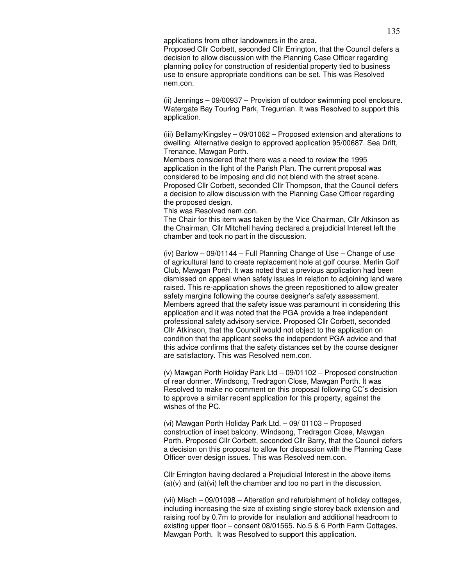applications from other landowners in the area. Proposed Cllr Corbett, seconded Cllr Errington, that the Council defers a decision to allow discussion with the Planning Case Officer regarding planning policy for construction of residential property tied to business use to ensure appropriate conditions can be set. This was Resolved nem.con.

(ii) Jennings – 09/00937 – Provision of outdoor swimming pool enclosure. Watergate Bay Touring Park, Tregurrian. It was Resolved to support this application.

(iii) Bellamy/Kingsley – 09/01062 – Proposed extension and alterations to dwelling. Alternative design to approved application 95/00687. Sea Drift, Trenance, Mawgan Porth.

Members considered that there was a need to review the 1995 application in the light of the Parish Plan. The current proposal was considered to be imposing and did not blend with the street scene. Proposed Cllr Corbett, seconded Cllr Thompson, that the Council defers a decision to allow discussion with the Planning Case Officer regarding the proposed design.

This was Resolved nem.con.

The Chair for this item was taken by the Vice Chairman, Cllr Atkinson as the Chairman, Cllr Mitchell having declared a prejudicial Interest left the chamber and took no part in the discussion.

(iv) Barlow – 09/01144 – Full Planning Change of Use – Change of use of agricultural land to create replacement hole at golf course. Merlin Golf Club, Mawgan Porth. It was noted that a previous application had been dismissed on appeal when safety issues in relation to adjoining land were raised. This re-application shows the green repositioned to allow greater safety margins following the course designer's safety assessment. Members agreed that the safety issue was paramount in considering this application and it was noted that the PGA provide a free independent professional safety advisory service. Proposed Cllr Corbett, seconded Cllr Atkinson, that the Council would not object to the application on condition that the applicant seeks the independent PGA advice and that this advice confirms that the safety distances set by the course designer are satisfactory. This was Resolved nem.con.

(v) Mawgan Porth Holiday Park Ltd – 09/01102 – Proposed construction of rear dormer. Windsong, Tredragon Close, Mawgan Porth. It was Resolved to make no comment on this proposal following CC's decision to approve a similar recent application for this property, against the wishes of the PC.

(vi) Mawgan Porth Holiday Park Ltd. – 09/ 01103 – Proposed construction of inset balcony. Windsong, Tredragon Close, Mawgan Porth. Proposed Cllr Corbett, seconded Cllr Barry, that the Council defers a decision on this proposal to allow for discussion with the Planning Case Officer over design issues. This was Resolved nem.con.

Cllr Errington having declared a Prejudicial Interest in the above items  $(a)(v)$  and  $(a)(vi)$  left the chamber and too no part in the discussion.

(vii) Misch – 09/01098 – Alteration and refurbishment of holiday cottages, including increasing the size of existing single storey back extension and raising roof by 0.7m to provide for insulation and additional headroom to existing upper floor – consent 08/01565. No.5 & 6 Porth Farm Cottages, Mawgan Porth. It was Resolved to support this application.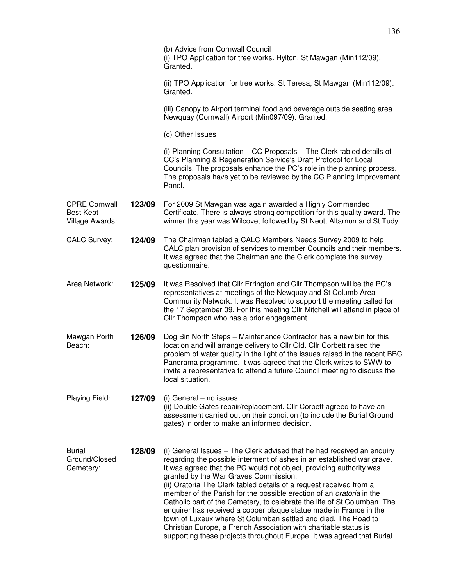|                                                             |        | (b) Advice from Cornwall Council<br>(i) TPO Application for tree works. Hylton, St Mawgan (Min112/09).<br>Granted.                                                                                                                                                                                                                                                                                                                                                                                                                                                                                                                                                                                                                                                                |
|-------------------------------------------------------------|--------|-----------------------------------------------------------------------------------------------------------------------------------------------------------------------------------------------------------------------------------------------------------------------------------------------------------------------------------------------------------------------------------------------------------------------------------------------------------------------------------------------------------------------------------------------------------------------------------------------------------------------------------------------------------------------------------------------------------------------------------------------------------------------------------|
|                                                             |        | (ii) TPO Application for tree works. St Teresa, St Mawgan (Min112/09).<br>Granted.                                                                                                                                                                                                                                                                                                                                                                                                                                                                                                                                                                                                                                                                                                |
|                                                             |        | (iii) Canopy to Airport terminal food and beverage outside seating area.<br>Newquay (Cornwall) Airport (Min097/09). Granted.                                                                                                                                                                                                                                                                                                                                                                                                                                                                                                                                                                                                                                                      |
|                                                             |        | (c) Other Issues                                                                                                                                                                                                                                                                                                                                                                                                                                                                                                                                                                                                                                                                                                                                                                  |
|                                                             |        | (i) Planning Consultation - CC Proposals - The Clerk tabled details of<br>CC's Planning & Regeneration Service's Draft Protocol for Local<br>Councils. The proposals enhance the PC's role in the planning process.<br>The proposals have yet to be reviewed by the CC Planning Improvement<br>Panel.                                                                                                                                                                                                                                                                                                                                                                                                                                                                             |
| <b>CPRE Cornwall</b><br><b>Best Kept</b><br>Village Awards: | 123/09 | For 2009 St Mawgan was again awarded a Highly Commended<br>Certificate. There is always strong competition for this quality award. The<br>winner this year was Wilcove, followed by St Neot, Altarnun and St Tudy.                                                                                                                                                                                                                                                                                                                                                                                                                                                                                                                                                                |
| <b>CALC Survey:</b>                                         | 124/09 | The Chairman tabled a CALC Members Needs Survey 2009 to help<br>CALC plan provision of services to member Councils and their members.<br>It was agreed that the Chairman and the Clerk complete the survey<br>questionnaire.                                                                                                                                                                                                                                                                                                                                                                                                                                                                                                                                                      |
| Area Network:                                               | 125/09 | It was Resolved that Cllr Errington and Cllr Thompson will be the PC's<br>representatives at meetings of the Newquay and St Columb Area<br>Community Network. It was Resolved to support the meeting called for<br>the 17 September 09. For this meeting Cllr Mitchell will attend in place of<br>Cllr Thompson who has a prior engagement.                                                                                                                                                                                                                                                                                                                                                                                                                                       |
| Mawgan Porth<br>Beach:                                      | 126/09 | Dog Bin North Steps - Maintenance Contractor has a new bin for this<br>location and will arrange delivery to Cllr Old. Cllr Corbett raised the<br>problem of water quality in the light of the issues raised in the recent BBC<br>Panorama programme. It was agreed that the Clerk writes to SWW to<br>invite a representative to attend a future Council meeting to discuss the<br>local situation.                                                                                                                                                                                                                                                                                                                                                                              |
| Playing Field:                                              | 127/09 | (i) General - no issues.<br>(ii) Double Gates repair/replacement. Cllr Corbett agreed to have an<br>assessment carried out on their condition (to include the Burial Ground<br>gates) in order to make an informed decision.                                                                                                                                                                                                                                                                                                                                                                                                                                                                                                                                                      |
| <b>Burial</b><br>Ground/Closed<br>Cemetery:                 | 128/09 | (i) General Issues - The Clerk advised that he had received an enquiry<br>regarding the possible interment of ashes in an established war grave.<br>It was agreed that the PC would not object, providing authority was<br>granted by the War Graves Commission.<br>(ii) Oratoria The Clerk tabled details of a request received from a<br>member of the Parish for the possible erection of an oratoria in the<br>Catholic part of the Cemetery, to celebrate the life of St Columban. The<br>enquirer has received a copper plaque statue made in France in the<br>town of Luxeux where St Columban settled and died. The Road to<br>Christian Europe, a French Association with charitable status is<br>supporting these projects throughout Europe. It was agreed that Burial |

136